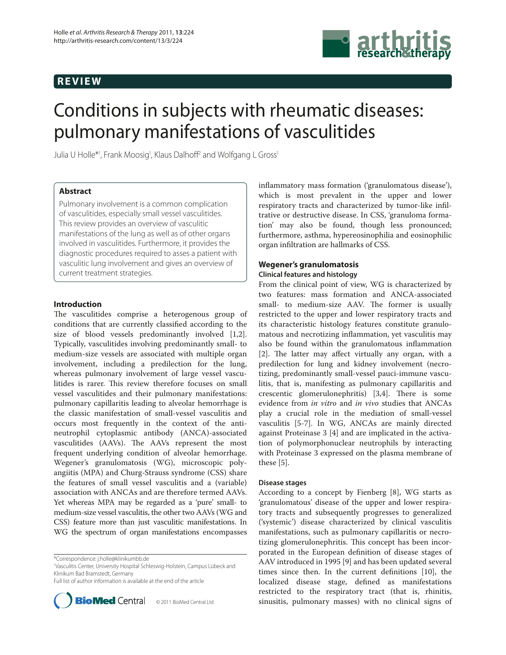# **REVIEW**



# Conditions in subjects with rheumatic diseases: pulmonary manifestations of vasculitides

Julia U Holle\*1, Frank Moosig1, Klaus Dalhoff<sup>2</sup> and Wolfgang L Gross1

# **Abstract**

Pulmonary involvement is a common complication of vasculitides, especially small vessel vasculitides. This review provides an overview of vasculitic manifestations of the lung as well as of other organs involved in vasculitides. Furthermore, it provides the diagnostic procedures required to asses a patient with vasculitic lung involvement and gives an overview of current treatment strategies.

## **Introduction**

The vasculitides comprise a heterogenous group of conditions that are currently classified according to the size of blood vessels predominantly involved [1,2]. Typically, vasculitides involving predominantly small- to medium-size vessels are associated with multiple organ involvement, including a predilection for the lung, whereas pulmonary involvement of large vessel vasculitides is rarer. This review therefore focuses on small vessel vasculitides and their pulmonary manifestations: pulmonary capillaritis leading to alveolar hemorrhage is the classic manifestation of small-vessel vasculitis and occurs most frequently in the context of the antineutrophil cytoplasmic antibody (ANCA)-associated vasculitides (AAVs). The AAVs represent the most frequent underlying condition of alveolar hemorrhage. Wegener's granulomatosis (WG), microscopic polyangiitis (MPA) and Churg-Strauss syndrome (CSS) share the features of small vessel vasculitis and a (variable) association with ANCAs and are therefore termed AAVs. Yet whereas MPA may be regarded as a 'pure' small- to medium-size vessel vasculitis, the other two AAVs (WG and CSS) feature more than just vasculitic manifestations. In WG the spectrum of organ manifestations encompasses

\*Correspondence: j.holle@klinikumbb.de

1 Vasculitis Center, University Hospital Schleswig-Holstein, Campus Lübeck and Klinikum Bad Bramstedt, Germany

Full list of author information is available at the end of the article



© 2011 BioMed Central Ltd

inflammatory mass formation ('granulomatous disease'), which is most prevalent in the upper and lower respiratory tracts and characterized by tumor-like infiltrative or destructive disease. In CSS, 'granuloma formation' may also be found, though less pronounced; furthermore, asthma, hypereosinophilia and eosinophilic organ infiltration are hallmarks of CSS.

# **Wegener's granulomatosis**

## **Clinical features and histology**

From the clinical point of view, WG is characterized by two features: mass formation and ANCA-associated small- to medium-size AAV. The former is usually restricted to the upper and lower respiratory tracts and its characteristic histology features constitute granulomatous and necrotizing inflammation, yet vasculitis may also be found within the granulomatous inflammation [2]. The latter may affect virtually any organ, with a predilection for lung and kidney involvement (necrotizing, predominantly small-vessel pauci-immune vasculitis, that is, manifesting as pulmonary capillaritis and crescentic glomerulonephritis) [3,4]. There is some evidence from *in vitro* and *in vivo* studies that ANCAs play a crucial role in the mediation of small-vessel vasculitis [5-7]. In WG, ANCAs are mainly directed against Proteinase 3 [4] and are implicated in the activation of polymorphonuclear neutrophils by interacting with Proteinase 3 expressed on the plasma membrane of these [5].

## **Disease stages**

According to a concept by Fienberg [8], WG starts as 'granulomatous' disease of the upper and lower respiratory tracts and subsequently progresses to generalized ('systemic') disease characterized by clinical vasculitis manifestations, such as pulmonary capillaritis or necrotizing glomerulonephritis. This concept has been incorporated in the European definition of disease stages of AAV introduced in 1995 [9] and has been updated several times since then. In the current definitions  $[10]$ , the localized disease stage, defined as manifestations restricted to the respiratory tract (that is, rhinitis, sinusitis, pulmonary masses) with no clinical signs of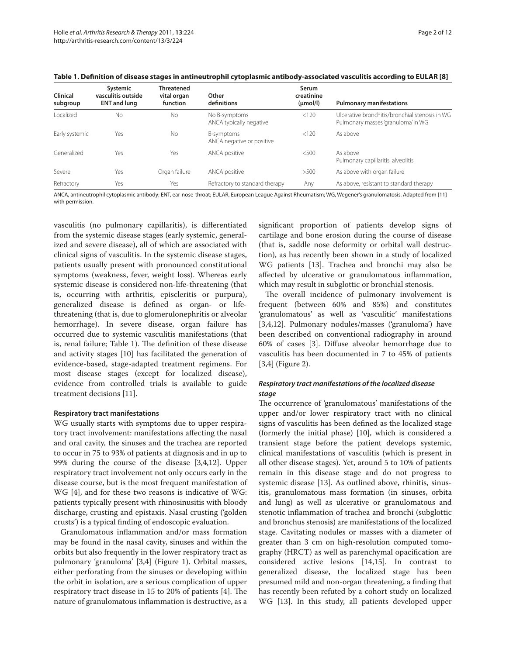| <b>Clinical</b><br>subgroup | Systemic<br>vasculitis outside<br><b>ENT and lung</b> | Threatened<br>vital organ<br>function | Other<br>definitions                     | Serum<br>creatinine<br>$(\mu mol/l)$ | <b>Pulmonary manifestations</b>                                                      |
|-----------------------------|-------------------------------------------------------|---------------------------------------|------------------------------------------|--------------------------------------|--------------------------------------------------------------------------------------|
| Localized                   | No                                                    | No                                    | No B-symptoms<br>ANCA typically negative | < 120                                | Ulcerative bronchitis/bronchial stenosis in WG<br>Pulmonary masses 'granuloma' in WG |
| Early systemic              | Yes                                                   | No                                    | B-symptoms<br>ANCA negative or positive  | < 120                                | As above                                                                             |
| Generalized                 | Yes                                                   | Yes                                   | ANCA positive                            | < 500                                | As above<br>Pulmonary capillaritis, alveolitis                                       |
| Severe                      | Yes                                                   | Organ failure                         | ANCA positive                            | >500                                 | As above with organ failure                                                          |
| Refractory                  | Yes                                                   | Yes                                   | Refractory to standard therapy           | Any                                  | As above, resistant to standard therapy                                              |

#### Table 1. Definition of disease stages in antineutrophil cytoplasmic antibody-associated vasculitis according to EULAR [8]

ANCA, antineutrophil cytoplasmic antibody; ENT, ear-nose-throat; EULAR, European League Against Rheumatism; WG, Wegener's granulomatosis. Adapted from [11] with permission.

vasculitis (no pulmonary capillaritis), is differentiated from the systemic disease stages (early systemic, generalized and severe disease), all of which are associated with clinical signs of vasculitis. In the systemic disease stages, patients usually present with pronounced constitutional symptoms (weakness, fever, weight loss). Whereas early systemic disease is considered non-life-threatening (that is, occurring with arthritis, episcleritis or purpura), generalized disease is defined as organ- or lifethreatening (that is, due to glomerulonephritis or alveolar hemorrhage). In severe disease, organ failure has occurred due to systemic vasculitis manifestations (that is, renal failure; Table 1). The definition of these disease and activity stages [10] has facilitated the generation of evidence-based, stage-adapted treatment regimens. For most disease stages (except for localized disease), evidence from controlled trials is available to guide treatment decisions [11].

#### **Respiratory tract manifestations**

WG usually starts with symptoms due to upper respiratory tract involvement: manifestations affecting the nasal and oral cavity, the sinuses and the trachea are reported to occur in 75 to 93% of patients at diagnosis and in up to 99% during the course of the disease [3,4,12]. Upper respiratory tract involvement not only occurs early in the disease course, but is the most frequent manifestation of WG [4], and for these two reasons is indicative of WG: patients typically present with rhinosinusitis with bloody discharge, crusting and epistaxis. Nasal crusting ('golden crusts') is a typical finding of endoscopic evaluation.

Granulomatous inflammation and/or mass formation may be found in the nasal cavity, sinuses and within the orbits but also frequently in the lower respiratory tract as pulmonary 'granuloma' [3,4] (Figure 1). Orbital masses, either perforating from the sinuses or developing within the orbit in isolation, are a serious complication of upper respiratory tract disease in  $15$  to  $20\%$  of patients  $[4]$ . The nature of granulomatous inflammation is destructive, as a significant proportion of patients develop signs of cartilage and bone erosion during the course of disease (that is, saddle nose deformity or orbital wall destruction), as has recently been shown in a study of localized WG patients [13]. Trachea and bronchi may also be affected by ulcerative or granulomatous inflammation, which may result in subglottic or bronchial stenosis.

The overall incidence of pulmonary involvement is frequent (between 60% and 85%) and constitutes 'granulomatous' as well as 'vasculitic' manifestations [3,4,12]. Pulmonary nodules/masses ('granuloma') have been described on conventional radiography in around  $60\%$  of cases [3]. Diffuse alveolar hemorrhage due to vasculitis has been documented in 7 to 45% of patients [3,4] (Figure 2).

## *Respiratory tract manifestations of the localized disease stage*

The occurrence of 'granulomatous' manifestations of the upper and/or lower respiratory tract with no clinical signs of vasculitis has been defined as the localized stage (formerly the initial phase) [10], which is considered a transient stage before the patient develops systemic, clinical manifestations of vasculitis (which is present in all other disease stages). Yet, around 5 to 10% of patients remain in this disease stage and do not progress to systemic disease [13]. As outlined above, rhinitis, sinusitis, granulomatous mass formation (in sinuses, orbita and lung) as well as ulcerative or granulomatous and stenotic inflammation of trachea and bronchi (subglottic and bronchus stenosis) are manifestations of the localized stage. Cavitating nodules or masses with a diameter of greater than 3 cm on high-resolution computed tomography (HRCT) as well as parenchymal opacification are considered active lesions [14,15]. In contrast to generalized disease, the localized stage has been presumed mild and non-organ threatening, a finding that has recently been refuted by a cohort study on localized WG [13]. In this study, all patients developed upper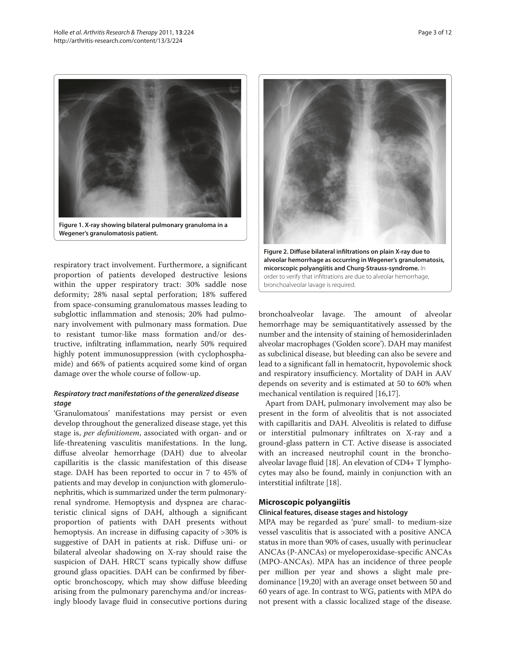

respiratory tract involvement. Furthermore, a significant proportion of patients developed destructive lesions within the upper respiratory tract: 30% saddle nose deformity; 28% nasal septal perforation; 18% suffered from space-consuming granulomatous masses leading to subglottic inflammation and stenosis; 20% had pulmonary involvement with pulmonary mass formation. Due to resistant tumor-like mass formation and/or destructive, infiltrating inflammation, nearly 50% required highly potent immunosuppression (with cyclophosphamide) and 66% of patients acquired some kind of organ damage over the whole course of follow-up.

## *Respiratory tract manifestations of the generalized disease stage*

'Granulomatous' manifestations may persist or even develop throughout the generalized disease stage, yet this stage is, *per definitionem*, associated with organ- and or life-threatening vasculitis manifestations. In the lung, diffuse alveolar hemorrhage (DAH) due to alveolar capillaritis is the classic manifestation of this disease stage. DAH has been reported to occur in 7 to 45% of patients and may develop in conjunction with glomerulonephritis, which is summarized under the term pulmonaryrenal syndrome. Hemoptysis and dyspnea are characteristic clinical signs of DAH, although a significant proportion of patients with DAH presents without hemoptysis. An increase in diffusing capacity of  $>30\%$  is suggestive of DAH in patients at risk. Diffuse uni- or bilateral alveolar shadowing on X-ray should raise the suspicion of DAH. HRCT scans typically show diffuse ground glass opacities. DAH can be confirmed by fiberoptic bronchoscopy, which may show diffuse bleeding arising from the pulmonary parenchyma and/or increasingly bloody lavage fluid in consecutive portions during



bronchoalveolar lavage. The amount of alveolar hemorrhage may be semiquantitatively assessed by the number and the intensity of staining of hemosiderinladen alveolar macrophages ('Golden score'). DAH may manifest as subclinical disease, but bleeding can also be severe and lead to a significant fall in hematocrit, hypovolemic shock and respiratory insufficiency. Mortality of DAH in AAV depends on severity and is estimated at 50 to 60% when mechanical ventilation is required [16,17].

Apart from DAH, pulmonary involvement may also be present in the form of alveolitis that is not associated with capillaritis and DAH. Alveolitis is related to diffuse or interstitial pulmonary infiltrates on X-ray and a ground-glass pattern in CT. Active disease is associated with an increased neutrophil count in the bronchoalveolar lavage fluid [18]. An elevation of  $CD4+T$  lymphocytes may also be found, mainly in conjunction with an interstitial infiltrate [18].

## **Microscopic polyangiitis**

#### **Clinical features, disease stages and histology**

MPA may be regarded as 'pure' small- to medium-size vessel vasculitis that is associated with a positive ANCA status in more than 90% of cases, usually with perinuclear ANCAs (P-ANCAs) or myeloperoxidase-specific ANCAs (MPO-ANCAs). MPA has an incidence of three people per million per year and shows a slight male predominance [19,20] with an average onset between 50 and 60 years of age. In contrast to WG, patients with MPA do not present with a classic localized stage of the disease.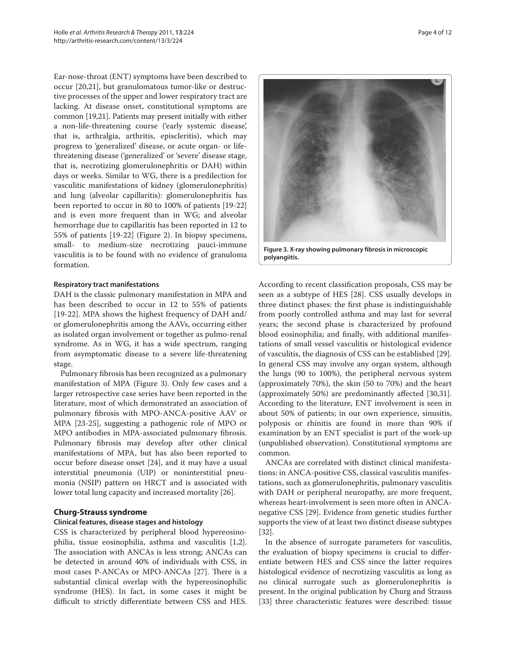Ear-nose-throat (ENT) symptoms have been described to occur [20,21], but granulomatous tumor-like or destructive processes of the upper and lower respiratory tract are lacking. At disease onset, constitutional symptoms are common [19,21]. Patients may present initially with either a non-life-threatening course ('early systemic disease', that is, arthralgia, arthritis, episcleritis), which may progress to 'generalized' disease, or acute organ- or lifethreatening disease ('generalized' or 'severe' disease stage, that is, necrotizing glomerulonephritis or DAH) within days or weeks. Similar to WG, there is a predilection for vasculitic manifestations of kidney (glomerulonephritis) and lung (alveolar capillaritis): glomerulonephritis has been reported to occur in 80 to 100% of patients [19-22] and is even more frequent than in WG; and alveolar hemorrhage due to capillaritis has been reported in 12 to 55% of patients [19-22] (Figure 2). In biopsy specimens, small- to medium-size necrotizing pauci-immune vasculitis is to be found with no evidence of granuloma formation.

## **Respiratory tract manifestations**

DAH is the classic pulmonary manifestation in MPA and has been described to occur in 12 to 55% of patients [19-22]. MPA shows the highest frequency of DAH and/ or glomerulonephritis among the AAVs, occurring either as isolated organ involvement or together as pulmo-renal syndrome. As in WG, it has a wide spectrum, ranging from asymptomatic disease to a severe life-threatening stage.

Pulmonary fibrosis has been recognized as a pulmonary manifestation of MPA (Figure 3). Only few cases and a larger retrospective case series have been reported in the literature, most of which demonstrated an association of pulmonary fibrosis with MPO-ANCA-positive AAV or MPA [23-25], suggesting a pathogenic role of MPO or MPO antibodies in MPA-associated pulmonary fibrosis. Pulmonary fibrosis may develop after other clinical manifestations of MPA, but has also been reported to occur before disease onset [24], and it may have a usual interstitial pneumonia (UIP) or noninterstitial pneumonia (NSIP) pattern on HRCT and is associated with lower total lung capacity and increased mortality [26].

## **Churg-Strauss syndrome**

#### **Clinical features, disease stages and histology**

CSS is characterized by peripheral blood hypereosinophilia, tissue eosinophilia, asthma and vasculitis [1,2]. The association with ANCAs is less strong; ANCAs can be detected in around 40% of individuals with CSS, in most cases P-ANCAs or MPO-ANCAs [27]. There is a substantial clinical overlap with the hypereosinophilic syndrome (HES). In fact, in some cases it might be difficult to strictly differentiate between CSS and HES.



According to recent classification proposals, CSS may be seen as a subtype of HES [28]. CSS usually develops in three distinct phases: the first phase is indistinguishable from poorly controlled asthma and may last for several years; the second phase is characterized by profound blood eosinophilia; and finally, with additional manifestations of small vessel vasculitis or histological evidence of vasculitis, the diagnosis of CSS can be established [29]. In general CSS may involve any organ system, although the lungs (90 to 100%), the peripheral nervous system (approximately 70%), the skin (50 to 70%) and the heart (approximately 50%) are predominantly affected  $[30,31]$ . According to the literature, ENT involvement is seen in about 50% of patients; in our own experience, sinusitis, polyposis or rhinitis are found in more than 90% if examination by an ENT specialist is part of the work-up (unpublished observation). Constitutional symptoms are common.

ANCAs are correlated with distinct clinical manifestations: in ANCA-positive CSS, classical vasculitis manifestations, such as glomerulonephritis, pulmonary vasculitis with DAH or peripheral neuropathy, are more frequent, whereas heart-involvement is seen more often in ANCAnegative CSS [29]. Evidence from genetic studies further supports the view of at least two distinct disease subtypes [32].

In the absence of surrogate parameters for vasculitis, the evaluation of biopsy specimens is crucial to differentiate between HES and CSS since the latter requires histological evidence of necrotizing vasculitis as long as no clinical surrogate such as glomerulonephritis is present. In the original publication by Churg and Strauss [33] three characteristic features were described: tissue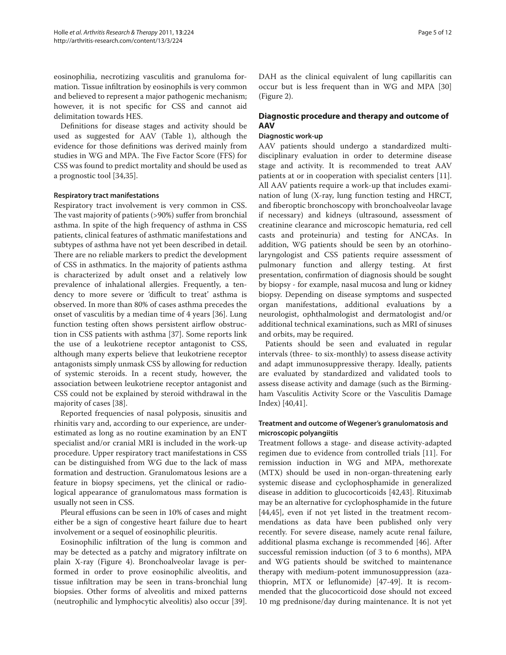eosinophilia, necrotizing vasculitis and granuloma formation. Tissue infiltration by eosinophils is very common and believed to represent a major pathogenic mechanism; however, it is not specific for CSS and cannot aid delimitation towards HES.

Definitions for disease stages and activity should be used as suggested for AAV (Table 1), although the evidence for those definitions was derived mainly from studies in WG and MPA. The Five Factor Score (FFS) for CSS was found to predict mortality and should be used as a prognostic tool [34,35].

#### **Respiratory tract manifestations**

Respiratory tract involvement is very common in CSS. The vast majority of patients (>90%) suffer from bronchial asthma. In spite of the high frequency of asthma in CSS patients, clinical features of asthmatic manifestations and subtypes of asthma have not yet been described in detail. There are no reliable markers to predict the development of CSS in asthmatics. In the majority of patients asthma is characterized by adult onset and a relatively low prevalence of inhalational allergies. Frequently, a tendency to more severe or 'difficult to treat' asthma is observed. In more than 80% of cases asthma precedes the onset of vasculitis by a median time of 4 years [36]. Lung function testing often shows persistent airflow obstruction in CSS patients with asthma [37]. Some reports link the use of a leukotriene receptor antagonist to CSS, although many experts believe that leukotriene receptor antagonists simply unmask CSS by allowing for reduction of systemic steroids. In a recent study, however, the association between leukotriene receptor antagonist and CSS could not be explained by steroid withdrawal in the majority of cases [38].

Reported frequencies of nasal polyposis, sinusitis and rhinitis vary and, according to our experience, are underestimated as long as no routine examination by an ENT specialist and/or cranial MRI is included in the work-up procedure. Upper respiratory tract manifestations in CSS can be distinguished from WG due to the lack of mass formation and destruction. Granulomatous lesions are a feature in biopsy specimens, yet the clinical or radiological appearance of granulomatous mass formation is usually not seen in CSS.

Pleural effusions can be seen in 10% of cases and might either be a sign of congestive heart failure due to heart involvement or a sequel of eosinophilic pleuritis.

Eosinophilic infiltration of the lung is common and may be detected as a patchy and migratory infiltrate on plain X-ray (Figure 4). Bronchoalveolar lavage is performed in order to prove eosinophilic alveolitis, and tissue infiltration may be seen in trans-bronchial lung biopsies. Other forms of alveolitis and mixed patterns (neutrophilic and lymphocytic alveolitis) also occur [39]. DAH as the clinical equivalent of lung capillaritis can occur but is less frequent than in WG and MPA [30] (Figure 2).

# **Diagnostic procedure and therapy and outcome of AAV**

#### **Diagnostic work-up**

AAV patients should undergo a standardized multidisciplinary evaluation in order to determine disease stage and activity. It is recommended to treat AAV patients at or in cooperation with specialist centers [11]. All AAV patients require a work-up that includes examination of lung (X-ray, lung function testing and HRCT, and fiberoptic bronchoscopy with bronchoalveolar lavage if necessary) and kidneys (ultrasound, assessment of creatinine clearance and microscopic hematuria, red cell casts and proteinuria) and testing for ANCAs. In addition, WG patients should be seen by an otorhinolaryngologist and CSS patients require assessment of pulmonary function and allergy testing. At first presentation, confirmation of diagnosis should be sought by biopsy - for example, nasal mucosa and lung or kidney biopsy. Depending on disease symptoms and suspected organ manifestations, additional evaluations by a neurologist, ophthalmologist and dermatologist and/or additional technical examinations, such as MRI of sinuses and orbits, may be required.

Patients should be seen and evaluated in regular intervals (three- to six-monthly) to assess disease activity and adapt immunosuppressive therapy. Ideally, patients are evaluated by standardized and validated tools to assess disease activity and damage (such as the Birmingham Vasculitis Activity Score or the Vasculitis Damage Index) [40,41].

## **Treatment and outcome of Wegener's granulomatosis and microscopic polyangiitis**

Treatment follows a stage- and disease activity-adapted regimen due to evidence from controlled trials [11]. For remission induction in WG and MPA, methorexate (MTX) should be used in non-organ-threatening early systemic disease and cyclophosphamide in generalized disease in addition to glucocorticoids [42,43]. Rituximab may be an alternative for cyclophosphamide in the future [44,45], even if not yet listed in the treatment recommendations as data have been published only very recently. For severe disease, namely acute renal failure, additional plasma exchange is recommended [46]. After successful remission induction (of 3 to 6 months), MPA and WG patients should be switched to maintenance therapy with medium-potent immunosuppression (azathio prin, MTX or leflunomide)  $[47-49]$ . It is recommended that the glucocorticoid dose should not exceed 10 mg prednisone/day during maintenance. It is not yet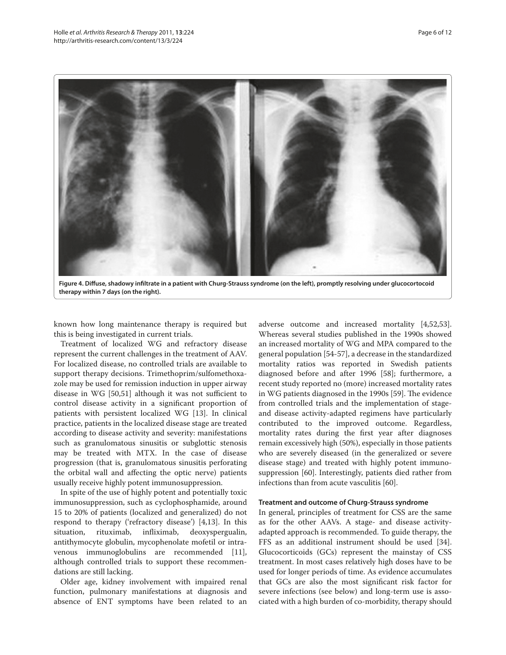

Figure 4. Diffuse, shadowy infiltrate in a patient with Churg-Strauss syndrome (on the left), promptly resolving under glucocortocoid **therapy within 7 days (on the right).**

known how long maintenance therapy is required but this is being investigated in current trials.

Treatment of localized WG and refractory disease represent the current challenges in the treatment of AAV. For localized disease, no controlled trials are available to support therapy decisions. Trimethoprim/sulfomethoxazole may be used for remission induction in upper airway disease in WG  $[50,51]$  although it was not sufficient to control disease activity in a significant proportion of patients with persistent localized WG [13]. In clinical practice, patients in the localized disease stage are treated according to disease activity and severity: manifestations such as granulomatous sinusitis or subglottic stenosis may be treated with MTX. In the case of disease progression (that is, granulomatous sinusitis perforating the orbital wall and affecting the optic nerve) patients usually receive highly potent immuno suppression.

In spite of the use of highly potent and potentially toxic immunosuppression, such as cyclophosphamide, around 15 to 20% of patients (localized and generalized) do not respond to therapy ('refractory disease') [4,13]. In this situation, rituximab, infliximab, deoxyspergualin, antithymocyte globulin, mycophenolate mofetil or intravenous immunoglobulins are recommended [11], although controlled trials to support these recommendations are still lacking.

Older age, kidney involvement with impaired renal function, pulmonary manifestations at diagnosis and absence of ENT symptoms have been related to an

adverse outcome and increased mortality [4,52,53]. Whereas several studies published in the 1990s showed an increased mortality of WG and MPA compared to the general population [54-57], a decrease in the standardized mortality ratios was reported in Swedish patients diagnosed before and after 1996 [58]; furthermore, a recent study reported no (more) increased mortality rates in WG patients diagnosed in the 1990s [59]. The evidence from controlled trials and the implementation of stageand disease activity-adapted regimens have particularly contributed to the improved outcome. Regardless, mortality rates during the first year after diagnoses remain excessively high (50%), especially in those patients who are severely diseased (in the generalized or severe disease stage) and treated with highly potent immunosuppression [60]. Interestingly, patients died rather from infections than from acute vasculitis [60].

#### **Treatment and outcome of Churg-Strauss syndrome**

In general, principles of treatment for CSS are the same as for the other AAVs. A stage- and disease activityadapted approach is recommended. To guide therapy, the FFS as an additional instrument should be used [34]. Glucocorticoids (GCs) represent the mainstay of CSS treatment. In most cases relatively high doses have to be used for longer periods of time. As evidence accumulates that GCs are also the most significant risk factor for severe infections (see below) and long-term use is associated with a high burden of co-morbidity, therapy should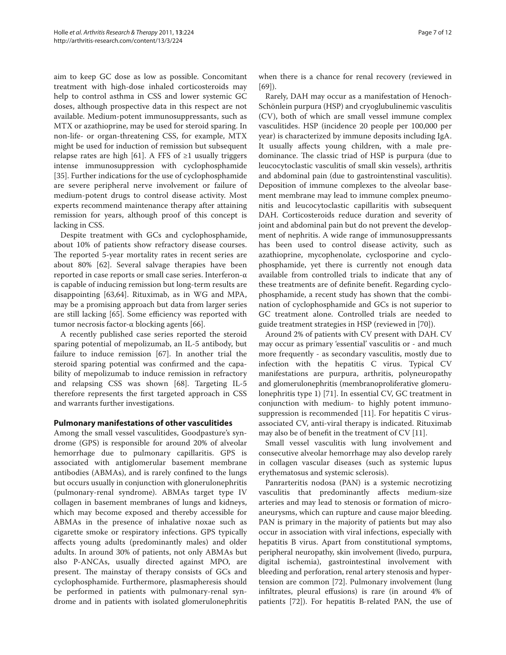aim to keep GC dose as low as possible. Concomitant treatment with high-dose inhaled corticosteroids may help to control asthma in CSS and lower systemic GC doses, although prospective data in this respect are not available. Medium-potent immunosuppressants, such as MTX or azathioprine, may be used for steroid sparing. In non-life- or organ-threatening CSS, for example, MTX might be used for induction of remission but subsequent relapse rates are high [61]. A FFS of  $\geq 1$  usually triggers intense immunosuppression with cyclophosphamide [35]. Further indications for the use of cyclophosphamide are severe peripheral nerve involvement or failure of medium-potent drugs to control disease activity. Most experts recommend maintenance therapy after attaining remission for years, although proof of this concept is lacking in CSS.

Despite treatment with GCs and cyclophosphamide, about 10% of patients show refractory disease courses. The reported 5-year mortality rates in recent series are about 80% [62]. Several salvage therapies have been reported in case reports or small case series. Interferon-α is capable of inducing remission but long-term results are disappointing [63,64]. Rituximab, as in WG and MPA, may be a promising approach but data from larger series are still lacking [65]. Some efficiency was reported with tumor necrosis factor-α blocking agents [66].

A recently published case series reported the steroid sparing potential of mepolizumab, an IL-5 antibody, but failure to induce remission [67]. In another trial the steroid sparing potential was confirmed and the capability of mepolizumab to induce remission in refractory and relapsing CSS was shown [68]. Targeting IL-5 therefore represents the first targeted approach in CSS and warrants further investigations.

## **Pulmonary manifestations of other vasculitides**

Among the small vessel vasculitides, Goodpasture's syndrome (GPS) is responsible for around 20% of alveolar hemorrhage due to pulmonary capillaritis. GPS is associated with antiglomerular basement membrane antibodies (ABMAs), and is rarely confined to the lungs but occurs usually in conjunction with glonerulonephritis (pulmonary-renal syndrome). ABMAs target type IV collagen in basement membranes of lungs and kidneys, which may become exposed and thereby accessible for ABMAs in the presence of inhalative noxae such as cigarette smoke or respiratory infections. GPS typically affects young adults (predominantly males) and older adults. In around 30% of patients, not only ABMAs but also P-ANCAs, usually directed against MPO, are present. The mainstay of therapy consists of GCs and cyclo phosphamide. Furthermore, plasmapheresis should be performed in patients with pulmonary-renal syndrome and in patients with isolated glomerulonephritis when there is a chance for renal recovery (reviewed in [69]).

Rarely, DAH may occur as a manifestation of Henoch-Schönlein purpura (HSP) and cryoglubulinemic vasculitis (CV), both of which are small vessel immune complex vasculitides. HSP (incidence 20 people per 100,000 per year) is characterized by immune deposits including IgA. It usually affects young children, with a male predominance. The classic triad of HSP is purpura (due to leucocytoclastic vasculitis of small skin vessels), arthritis and abdominal pain (due to gastrointenstinal vasculitis). Deposition of immune complexes to the alveolar basement membrane may lead to immune complex pneumonitis and leucocytoclastic capillaritis with subsequent DAH. Corticosteroids reduce duration and severity of joint and abdominal pain but do not prevent the development of nephritis. A wide range of immunosuppressants has been used to control disease activity, such as azathioprine, mycophenolate, cyclosporine and cyclophosphamide, yet there is currently not enough data available from controlled trials to indicate that any of these treatments are of definite benefit. Regarding cyclophosphamide, a recent study has shown that the combination of cyclophosphamide and GCs is not superior to GC treatment alone. Controlled trials are needed to guide treatment strategies in HSP (reviewed in [70]).

Around 2% of patients with CV present with DAH. CV may occur as primary 'essential' vasculitis or - and much more frequently - as secondary vasculitis, mostly due to infection with the hepatitis C virus. Typical CV manifestations are purpura, arthritis, polyneuropathy and glomerulonephritis (membranoproliferative glomerulonephritis type 1) [71]. In essential CV, GC treatment in conjunction with medium- to highly potent immunosuppression is recommended [11]. For hepatitis C virusassociated CV, anti-viral therapy is indicated. Rituximab may also be of benefit in the treatment of  $CV[11]$ .

Small vessel vasculitis with lung involvement and consecutive alveolar hemorrhage may also develop rarely in collagen vascular diseases (such as systemic lupus erythematosus and systemic sclerosis).

Panrarteritis nodosa (PAN) is a systemic necrotizing vasculitis that predominantly affects medium-size arteries and may lead to stenosis or formation of microaneurysms, which can rupture and cause major bleeding. PAN is primary in the majority of patients but may also occur in association with viral infections, especially with hepatitis B virus. Apart from constitutional symptoms, peripheral neuropathy, skin involvement (livedo, purpura, digital ischemia), gastrointestinal involvement with bleeding and perforation, renal artery stenosis and hypertension are common [72]. Pulmonary involvement (lung infiltrates, pleural effusions) is rare (in around 4% of patients [72]). For hepatitis B-related PAN, the use of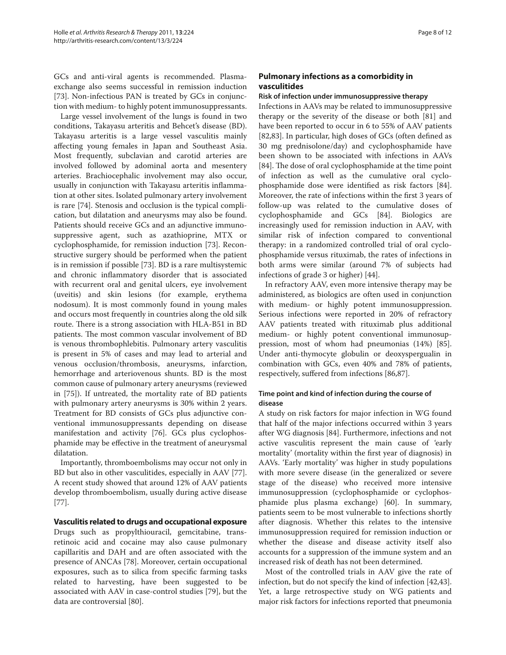GCs and anti-viral agents is recommended. Plasmaexchange also seems successful in remission induction [73]. Non-infectious PAN is treated by GCs in conjunction with medium- to highly potent immunosuppressants.

Large vessel involvement of the lungs is found in two conditions, Takayasu arteritis and Behcet's disease (BD). Takayasu arteritis is a large vessel vasculitis mainly affecting young females in Japan and Southeast Asia. Most frequently, subclavian and carotid arteries are involved followed by adominal aorta and mesentery arteries. Brachiocephalic involvement may also occur, usually in conjunction with Takayasu arteritis inflammation at other sites. Isolated pulmonary artery involvement is rare [74]. Stenosis and occlusion is the typical complication, but dilatation and aneurysms may also be found. Patients should receive GCs and an adjunctive immunosuppressive agent, such as azathioprine, MTX or cyclophosphamide, for remission induction [73]. Reconstructive surgery should be performed when the patient is in remission if possible [73]. BD is a rare multisystemic and chronic inflammatory disorder that is associated with recurrent oral and genital ulcers, eye involvement (uveitis) and skin lesions (for example, erythema nodosum). It is most commonly found in young males and occurs most frequently in countries along the old silk route. There is a strong association with HLA-B51 in BD patients. The most common vascular involvement of BD is venous thrombophlebitis. Pulmonary artery vasculitis is present in 5% of cases and may lead to arterial and venous occlusion/thrombosis, aneurysms, infarction, hemorrhage and arteriovenous shunts. BD is the most common cause of pulmonary artery aneurysms (reviewed in [75]). If untreated, the mortality rate of BD patients with pulmonary artery aneurysms is 30% within 2 years. Treatment for BD consists of GCs plus adjunctive conventional immuno suppressants depending on disease manifestation and activity [76]. GCs plus cyclophosphamide may be effective in the treatment of aneurysmal dilatation.

Importantly, thromboembolisms may occur not only in BD but also in other vasculitides, especially in AAV [77]. A recent study showed that around 12% of AAV patients develop thromboembolism, usually during active disease [77].

## **Vasculitis related to drugs and occupational exposure**

Drugs such as propylthiouracil, gemcitabine, transretinoic acid and cocaine may also cause pulmonary capillaritis and DAH and are often associated with the presence of ANCAs [78]. Moreover, certain occupational exposures, such as to silica from specific farming tasks related to harvesting, have been suggested to be associated with AAV in case-control studies [79], but the data are controversial [80].

# **Pulmonary infections as a comorbidity in vasculitides**

#### **Risk of infection under immunosuppressive therapy**

Infections in AAVs may be related to immunosuppressive therapy or the severity of the disease or both [81] and have been reported to occur in 6 to 55% of AAV patients [82,83]. In particular, high doses of GCs (often defined as 30 mg prednisolone/day) and cyclophosphamide have been shown to be associated with infections in AAVs [84]. The dose of oral cyclophosphamide at the time point of infection as well as the cumulative oral cyclophosphamide dose were identified as risk factors [84]. Moreover, the rate of infections within the first 3 years of follow-up was related to the cumulative doses of cyclophosphamide and GCs [84]. Biologics are increasingly used for remission induction in AAV, with similar risk of infection compared to conventional therapy: in a randomized controlled trial of oral cyclophosphamide versus rituximab, the rates of infections in both arms were similar (around 7% of subjects had infections of grade 3 or higher) [44].

In refractory AAV, even more intensive therapy may be administered, as biologics are often used in conjunction with medium- or highly potent immunosuppression. Serious infections were reported in 20% of refractory AAV patients treated with rituximab plus additional medium- or highly potent conventional immunosuppression, most of whom had pneumonias (14%) [85]. Under anti-thymocyte globulin or deoxyspergualin in combination with GCs, even 40% and 78% of patients, respectively, suffered from infections  $[86,87]$ .

## **Time point and kind of infection during the course of disease**

A study on risk factors for major infection in WG found that half of the major infections occurred within 3 years after WG diagnosis [84]. Furthermore, infections and not active vasculitis represent the main cause of 'early mortality' (mortality within the first year of diagnosis) in AAVs. 'Early mortality' was higher in study populations with more severe disease (in the generalized or severe stage of the disease) who received more intensive immunosuppression (cyclophosphamide or cyclophosphamide plus plasma exchange) [60]. In summary, patients seem to be most vulnerable to infections shortly after diagnosis. Whether this relates to the intensive immunosuppression required for remission induction or whether the disease and disease activity itself also accounts for a suppression of the immune system and an increased risk of death has not been determined.

Most of the controlled trials in AAV give the rate of infection, but do not specify the kind of infection [42,43]. Yet, a large retrospective study on WG patients and major risk factors for infections reported that pneumonia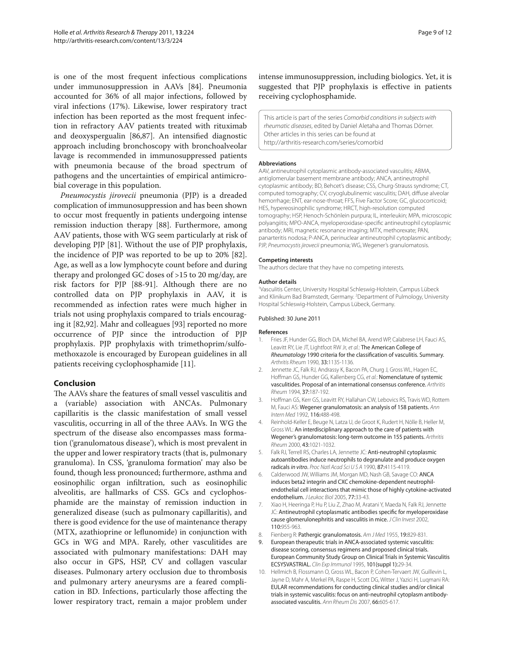is one of the most frequent infectious complications under immunosuppression in AAVs [84]. Pneumonia accounted for 36% of all major infections, followed by viral infections (17%). Likewise, lower respiratory tract infection has been reported as the most frequent infection in refractory AAV patients treated with rituximab and deoxyspergualin [86,87]. An intensified diagnostic approach including bronchoscopy with bronchoalveolar lavage is recommended in immunosuppressed patients with pneumonia because of the broad spectrum of pathogens and the uncertainties of empirical antimicrobial coverage in this population.

*Pneumocystis jirovecii* pneumonia (PJP) is a dreaded complication of immunosuppression and has been shown to occur most frequently in patients undergoing intense remission induction therapy [88]. Furthermore, among AAV patients, those with WG seem particularly at risk of developing PJP [81]. Without the use of PJP prophylaxis, the incidence of PJP was reported to be up to 20% [82]. Age, as well as a low lymphocyte count before and during therapy and prolonged GC doses of >15 to 20 mg/day, are risk factors for PJP [88-91]. Although there are no controlled data on PJP prophylaxis in AAV, it is recommended as infection rates were much higher in trials not using prophylaxis compared to trials encouraging it [82,92]. Mahr and colleagues [93] reported no more occurrence of PJP since the introduction of PJP prophylaxis. PJP prophylaxis with trimethoprim/sulfomethoxazole is encouraged by European guidelines in all patients receiving cyclophosphamide [11].

## **Conclusion**

The AAVs share the features of small vessel vasculitis and a (variable) association with ANCAs. Pulmonary capillaritis is the classic manifestation of small vessel vasculitis, occurring in all of the three AAVs. In WG the spectrum of the disease also encompasses mass formation ('granulomatous disease'), which is most prevalent in the upper and lower respiratory tracts (that is, pulmonary granuloma). In CSS, 'granuloma formation' may also be found, though less pronounced; furthermore, asthma and eosinophilic organ infiltration, such as eosinophilic alveolitis, are hallmarks of CSS. GCs and cyclophosphamide are the mainstay of remission induction in generalized disease (such as pulmonary capillaritis), and there is good evidence for the use of maintenance therapy (MTX, azathioprine or leflunomide) in conjunction with GCs in WG and MPA. Rarely, other vasculitides are associated with pulmonary manifestations: DAH may also occur in GPS, HSP, CV and collagen vascular diseases. Pulmonary artery occlusion due to thrombosis and pulmonary artery aneurysms are a feared complication in BD. Infections, particularly those affecting the lower respiratory tract, remain a major problem under This article is part of the series Comorbid conditions in subjects with rheumatic diseases, edited by Daniel Aletaha and Thomas Dörner. Other articles in this series can be found at http://arthritis-research.com/series/comorbid

#### **Abbreviations**

AAV, antineutrophil cytoplasmic antibody-associated vasculitis; ABMA, antiglomerular basement membrane antibody; ANCA, antineutrophil cytoplasmic antibody; BD, Behcet's disease; CSS, Churg-Strauss syndrome; CT, computed tomography; CV, cryoglubulinemic vasculitis; DAH, diffuse alveolar hemorrhage; ENT, ear-nose-throat; FFS, Five Factor Score; GC, glucocorticoid; HES, hypereosinophilic syndrome; HRCT, high-resolution computed tomography; HSP, Henoch-Schönlein purpura; IL, interleukin; MPA, microscopic polyangiitis; MPO-ANCA, myeloperoxidase-specific antineutrophil cytoplasmic antibody; MRI, magnetic resonance imaging; MTX, methorexate; PAN, panarteritis nodosa; P-ANCA, perinuclear antineutrophil cytoplasmic antibody; PJP, Pneumocystis jirovecii pneumonia; WG, Wegener's granulomatosis.

#### **Competing interests**

The authors declare that they have no competing interests.

#### **Author details**

1 Vasculitis Center, University Hospital Schleswig-Holstein, Campus Lübeck and Klinikum Bad Bramstedt, Germany. <sup>2</sup>Department of Pulmology, University Hospital Schleswig-Holstein, Campus Lübeck, Germany.

#### Published: 30 June 2011

#### **References**

- 1. Fries JF, Hunder GG, Bloch DA, Michel BA, Arend WP, Calabrese LH, Fauci AS, Leavitt RY, Lie JT, Lightfoot RW Jr, et al.: The American College of Rheumatology 1990 criteria for the classification of vasculitis. Summary. Arthritis Rheum 1990, 33:1135-1136.
- 2. Jennette JC, Falk RJ, Andrassy K, Bacon PA, Churg J, Gross WL, Hagen EC, Hoffman GS, Hunder GG, Kallenberg CG, et al.: Nomenclature of systemic vasculitides. Proposal of an international consensus conference. Arthritis Rheum 1994, 37:187-192.
- 3. Hoffman GS, Kerr GS, Leavitt RY, Hallahan CW, Lebovics RS, Travis WD, Rottem M, Fauci AS: Wegener granulomatosis: an analysis of 158 patients. Ann Intern Med 1992, 116:488-498.
- 4. Reinhold-Keller E, Beuge N, Latza U, de Groot K, Rudert H, Nölle B, Heller M, Gross WL: An interdisciplinary approach to the care of patients with Wegener's granulomatosis: long-term outcome in 155 patients. Arthritis Rheum 2000, 43:1021-1032.
- 5. Falk RJ, Terrell RS, Charles LA, Jennette JC: Anti-neutrophil cytoplasmic autoantibodies induce neutrophils to degranulate and produce oxygen radicals in vitro. Proc Natl Acad Sci U S A 1990, 87:4115-4119.
- 6. Calderwood JW, Williams JM, Morgan MD, Nash GB, Savage CO: ANCA induces beta2 integrin and CXC chemokine-dependent neutrophilendothelial cell interactions that mimic those of highly cytokine-activated endothelium. J Leukoc Biol 2005, 77:33-43.
- 7. Xiao H, Heeringa P, Hu P, Liu Z, Zhao M, Aratani Y, Maeda N, Falk RJ, Jennette JC: Antineutrophil cytoplasmatic antibodies specific for myeloperoxidase cause glomerulonephritis and vasculitis in mice. J Clin Invest 2002, 110:955-963.
- Fienberg R: Pathergic granulomatosis. Am J Med 1955, 19:829-831.
- 9. European therapeutic trials in ANCA-associated systemic vasculitis: disease scoring, consensus regimens and proposed clinical trials. European Community Study Group on Clinical Trials in Systemic Vasculitis ECSYSVASTRIAL. Clin Exp Immunol 1995, 101(suppl 1):29-34.
- 10. Hellmich B, Flossmann O, Gross WL, Bacon P, Cohen-Tervaert JW, Guillevin L, Jayne D, Mahr A, Merkel PA, Raspe H, Scott DG, Witter J, Yazici H, Luqmani RA: EULAR recommendations for conducting clinical studies and/or clinical trials in systemic vasculitis: focus on anti-neutrophil cytoplasm antibodyassociated vasculitis. Ann Rheum Dis 2007, 66:605-617.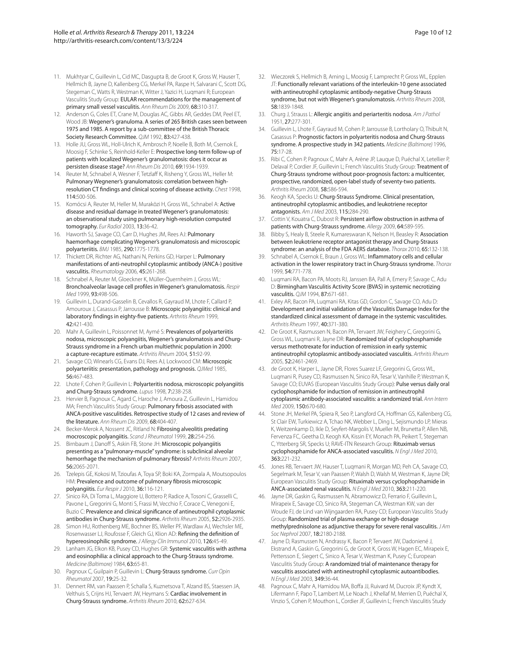- 11. Mukhtyar C, Guillevin L, Cid MC, Dasgupta B, de Groot K, Gross W, Hauser T, Hellmich B, Jayne D, Kallenberg CG, Merkel PA, Raspe H, Salvarani C, Scott DG, Stegeman C, Watts R, Westman K, Witter J, Yazici H, Luqmani R; European Vasculitis Study Group: EULAR recommendations for the management of primary small vessel vasculitis. Ann Rheum Dis 2009, 68:310-317.
- 12. Anderson G, Coles ET, Crane M, Douglas AC, Gibbs AR, Geddes DM, Peel ET, Wood JB: Wegener's granuloma. A series of 265 British cases seen between 1975 and 1985. A report by a sub-committee of the British Thoracic Society Research Committee. QJM 1992, 83:427-438.
- 13. Holle JU, Gross WL, Holl-Ulrich K, Ambrosch P, Noelle B, Both M, Csernok E, Moosig F, Schinke S, Reinhold-Keller E: Prospective long-term follow-up of patients with localized Wegener's granulomatosis: does it occur as persisten disease stage? Ann Rheum Dis 2010, 69:1934-1939.
- 14. Reuter M, Schnabel A, Wesner F, Tetzlaff K, Risheng Y, Gross WL, Heller M: Pulmonary Wegnener's granulomatosis: correlation between highresolution CT findings and clinical scoring of disease activity. Chest 1998, 114:500-506.
- 15. Komócsi A, Reuter M, Heller M, Muraközi H, Gross WL, Schnabel A: Active disease and residual damage in treated Wegener's granulomatosis: an observational study using pulmonary high-resolution computed tomography. Eur Radiol 2003, 13:36-42.
- 16. Haworth SJ, Savage CO, Carr D, Hughes JM, Rees AJ: Pulmonary haemorrhage complicating Wegener's granulomatosis and microscopic polyarteriitis. BMJ 1985, 290:1775-1778.
- 17. Thickett DR, Richter AG, Nathani N, Perkins GD, Harper L: Pulmonary manifestations of anti-neutrophil cytoplasmic antibody (ANCA-) positive vasculitis. Rheumatology 2006, 45:261-268.
- 18. Schnabel A, Reuter M, Gloeckner K, Müller-Quernheim J, Gross WL: Bronchoalveolar lavage cell profiles in Wegener's granulomatosis. Respir Med 1999, 93:498-506.
- 19. Guillevin L, Durand-Gasselin B, Cevallos R, Gayraud M, Lhote F, Callard P, Amouroux J, Casassus P, Jarrousse B: Microscopic polyangiitis: clinical and laboratory findings in eighty-five patients. Arthritis Rheum 1999, 42:421-430.
- 20. Mahr A, Guillevin L, Poissonnet M, Aymé S: Prevalences of polyarteriitis nodosa, microscopic polyangiitis, Wegener's granulomatosis and Churg-Strauss syndrome in a French urban multiethnic population in 2000: a capture-recapture estimate. Arthritis Rheum 2004, 51:92-99.
- 21. Savage CO, Winearls CG, Evans DJ, Rees AJ, Lockwood CM: Microscopic polyarteriitis: presentation, pathology and prognosis. QJMed 1985, 56:467-483.
- 22. Lhote F, Cohen P, Guillevin L: Polyarteritis nodosa, microscopic polyangiitis and Churg-Strauss syndrome. Lupus 1998, 7:238-258.
- 23. Hervier B, Pagnoux C, Agard C, Haroche J, Amoura Z, Guillevin L, Hamidou MA; French Vasculitis Study Group: Pulmonary firbosis associated with ANCA-positive vasculitides. Retrospective study of 12 cases and review of the literature. Ann Rheum Dis 2009, 68:404-407.
- 24. Becker-Merok A, Nossent JC, Ritland N: Fibrosing alveolitis predating mocroscopic polyangiitis. Scand J Rheumatol 1999, 28:254-256.
- 25. Birnbaum J, Danoff S, Askin FB, Stone JH: Microscopic polyangiitis presenting as a "pulmonary-muscle" syndrome: is subclinical alveolar hemorrhage the mechanism of pulmonary fibrosis? Arthritis Rheum 2007, 56:2065-2071.
- 26. Tzelepis GE, Kokosi M, Tzioufas A, Toya SP, Boki KA, Zormpala A, Moutsopoulos HM: Prevalence and outcome of pulmonary fibrosis microscopic polyangiitis. Eur Respir J 2010, 36:116-121
- 27. Sinico RA, Di Toma L, Maggiore U, Bottero P, Radice A, Tosoni C, Grasselli C, Pavone L, Gregorini G, Monti S, Frassi M, Vecchio F, Corace C, Venegoni E, Buzio C: Prevalence and clinical significance of antineutrophil cytoplasmic antibodies in Churg-Strauss syndrome. Arthritis Rheum 2005, 52:2926-2935.
- 28. Simon HU, Rothenberg ME, Bochner BS, Weller PF, Wardlaw AJ, Wechsler ME, Rosenwasser LJ, Roufosse F, Gleich GJ, Klion AD: Refining the definition of hypereosinophilic syndrome. J Allergy Clin Immunol 2010, 126:45-49.
- 29. Lanham JG, Elkon KB, Pusey CD, Hughes GR: Systemic vasculitis with asthma and eosinophilia: a clinical approach to the Churg-Strauss syndrome. Medicine (Baltimore) 1984, 63:65-81.
- 30. Pagnoux C, Guilpain P, Guillevin L: Churg-Strauss syndrome. Curr Opin Rheumatol 2007, 19:25-32.
- 31. Dennert RM, van Paassen P, Schalla S, Kuznetsova T, Alzand BS, Staessen JA, Velthuis S, Crijns HJ, Tervaert JW, Heymans S: Cardiac involvement in Churg-Strauss syndrome. Arthritis Rheum 2010, 62:627-634.
- 32. Wieczorek S, Hellmich B, Arning L, Moosig F, Lamprecht P, Gross WL, Epplen JT: Functionally relevant variations of the interleukin-10 gene associated with antineutrophil cytoplasmic antibody-negative Churg-Strauss syndrome, but not with Wegener's granulomatosis. Arthritis Rheum 2008, 58:1839-1848.
- 33. Churg J, Strauss L: Allergic angiitis and periarteritis nodosa. Am J Pathol 1951, 27:277-301.
- 34. Guillevin L, Lhote F, Gayraud M, Cohen P, Jarrousse B, Lortholary O, Thibult N, Casassus P: Prognostic factors in polyarteritis nodosa and Churg-Strauss syndrome. A prospective study in 342 patients. Medicine (Baltimore) 1996, 75:17-28.
- 35. Ribi C, Cohen P, Pagnoux C, Mahr A, Arène JP, Lauque D, Puéchal X, Letellier P, Delaval P, Cordier JF, Guillevin L; French Vasculitis Study Group: Treatment of Churg-Strauss syndrome without poor-prognosis factors: a multicenter, prospective, randomized, open-label study of seventy-two patients. Arthritis Rheum 2008, 58:586-594.
- 36. Keogh KA, Specks U: Churg-Strauss Syndrome. Clinical presentation, antineutrophil cytoplasmic antibodies, and leukotriene receptor antagonists. Am J Med 2003, 115:284-290.
- 37. Cottin V, Kouatra C, Dubost R: Persistent airflow obstruction in asthma of patients with Churg-Strauss syndrome. Allergy 2009, 64:589-595.
- 38. Bibby S, Healy B, Steele R, Kumareswaran K, Nelson H, Beasley R: Association between leukotriene receptor antagonist therapy and Churg-Strauss syndrome: an analysis of the FDA AERS database. Thorax 2010, 65:132-138.
- 39. Schnabel A, Csernok E, Braun J, Gross WL: Inflammatory cells and cellular activation in the lower respiratory tract in Churg-Strauss syndrome. Thorax 1999, 54:771-778.
- 40. Luqmani RA, Bacon PA, Moots RJ, Janssen BA, Pall A, Emery P, Savage C, Adu D: Birmingham Vasculitis Activity Score (BVAS) in systemic necrotizing vasculitis. QJM 1994, 87:671-681.
- 41. Exley AR, Bacon PA, Luqmani RA, Kitas GD, Gordon C, Savage CO, Adu D: Development and initial validation of the Vasculitis Damage Index for the standardized clinical assessment of damage in the systemic vasculitides. Arthritis Rheum 1997, 40:371-380.
- 42. De Groot K, Rasmussen N, Bacon PA, Tervaert JW, Feighery C, Gregorini G, Gross WL, Luqmani R, Jayne DR: Randomized trial of cyclophosphamide versus methotrexate for induction of remission in early systemic antineutrophil cytoplasmic antibody-associated vasculitis. Arthritis Rheum 2005, 52:2461-2469.
- 43. de Groot K, Harper L, Jayne DR, Flores Suarez LF, Gregorini G, Gross WL, Luqmani R, Pusey CD, Rasmussen N, Sinico RA, Tesar V, Vanhille P, Westman K, Savage CO; EUVAS (European Vasculitis Study Group): Pulse versus daily oral cyclophosphamide for induction of remission in antineutrophil cytoplasmic antibody-associated vasculitis: a randomized trial. Ann Intern Med 2009, **150:**670-680.
- 44. Stone JH, Merkel PA, Spiera R, Seo P, Langford CA, Hoffman GS, Kallenberg CG, St Clair EW, Turkiewicz A, Tchao NK, Webber L, Ding L, Sejismundo LP, Mieras K, Weitzenkamp D, Ikle D, Seyfert-Margolis V, Mueller M, Brunetta P, Allen NB, Fervenza FC, Geetha D, Keogh KA, Kissin EY, Monach PA, Peikert T, Stegeman C, Ytterberg SR, Specks U; RAVE-ITN Research Group: Rituximab versus cyclophosphamide for ANCA-associated vasculitis. N Engl J Med 2010, 363:221-232.
- 45. Jones RB, Tervaert JW, Hauser T, Luqmani R, Morgan MD, Peh CA, Savage CO, Segelmark M, Tesar V, van Paassen P, Walsh D, Walsh M, Westman K, Jayne DR; European Vasculitis Study Group: Rituximab versus cyclophopshamide in ANCA-associated renal vasculitis. N Engl J Med 2010, 363:211-220.
- 46. Jayne DR, Gaskin G, Rasmussen N, Abramowicz D, Ferrario F, Guillevin L, Mirapeix E, Savage CO, Sinico RA, Stegeman CA, Westman KW, van der Woude FJ, de Lind van Wijngaarden RA, Pusey CD; European Vasculitis Study Group: Randomized trial of plasma exchange or high-dosage methylprednisolone as adjunctive therapy for severe renal vasculitis. J Am Soc Nephrol 2007, 18:2180-2188.
- 47. Jayne D, Rasmussen N, Andrassy K, Bacon P, Tervaert JW, Dadoniené J, Ekstrand A, Gaskin G, Gregorini G, de Groot K, Gross W, Hagen EC, Mirapeix E, Pettersson E, Siegert C, Sinico A, Tesar V, Westman K, Pusey C; European Vasculitis Study Group: A randomized trial of maintenance therapy for vasculitis associated with antineutrophil cytoplasmic autoantibodies. N Engl J Med 2003, 349:36-44.
- 48. Pagnoux C, Mahr A, Hamidou MA, Boffa JJ, Ruivard M, Ducroix JP, Kyndt X, Lifermann F, Papo T, Lambert M, Le Noach J, Khellaf M, Merrien D, Puéchal X, Vinzio S, Cohen P, Mouthon L, Cordier JF, Guillevin L; French Vasculitis Study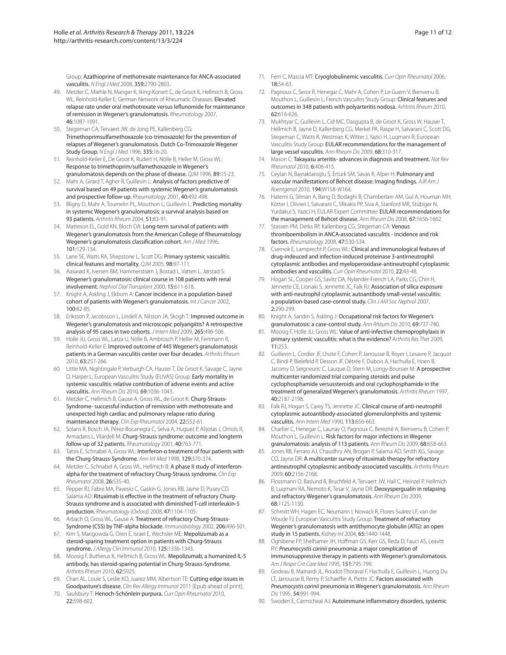Group: Azathioprine of methotrexate maintenance for ANCA-associated vasculitis. N Engl J Med 2008, 359:2790-2803.

- Metzler C, Miehle N, Manger K, Iking-Konert C, de Groot K, Hellmich B, Gross WL, Reinhold-Keller E; German Network of Rheumatic Diseases: Elevated relapse rate under oral methotrexate versus leflunomide for maintenance of remission in Wegener's granulomatosis. Rheumatology 2007, 46:1087-1091.
- 50. Stegeman CA, Tervaert JW, de Jong PE, Kallenberg CG: Trimethoprimsulfamethoxazole (co-trimoxazole) for the prevention of relapses of Wegener's granulomatosis. Dutch Co-Trimoxazole Wegener Study Group. N Engl J Med 1996, 335:16-20.
- 51. Reinhold-Keller E, De Groot K, Rudert H, Nölle B, Heller M, Gross WL: Response to trimethoprim/sulfamethoxazole in Wegener's granulomatosis depends on the phase of disease. QJM 1996, 89:15-23.
- 52. Mahr A, Girard T, Agher R, Guillevin L: Analysis of factors predictive of survival based on 49 patients with systemic Wegener's granulomatosis and prospective follow-up. Rheumatology 2001, 40:492-498.
- 53. Bligny D, Mahr A, Toumelin PL, Mouthon L, Guillevin L: Predicting mortality in systemic Wegener's granulomatosis: a survival analysis based on 93 patients. Arthritis Rheum 2004, 51:83-91.
- Matteson EL, Gold KN, Bloch DA: Long-term survival of patients with Wegener's granulomatosis from the American College of Rheumatology Wegener's granulomatosis classification cohort. Am J Med 1996, 101:129-134.
- 55. Lane SE, Watts RA, Shepstone L, Scott DG: Primary systemic vasculitis: clinical features and mortality. QJM 2005, 98:97-111.
- 56. Aasarød K, Iversen BM, Hammerstrøm J, Bostad L, Vatten L, Jørstad S: Wegener's granulomatosis: clinical course in 108 patients with renal involvement. Nephrol Dial Transplant 2000, 15:611-618.
- 57. Knight A, Askling J, Ekbom A: Cancer incidence in a population-based cohort of patients with Wegener's granulomatosis. Int J Cancer 2002, 100:82-85.
- Eriksson P, Jacobsson L, Lindell A, Nilsson JA, Skogh T: Improved outcome in Wegener's granulomatosis and microscopic polyangiitis? A retrospective analysis of 95 cases in two cohorts. J Intern Med 2009, 265:496-506.
- 59. Holle JU, Gross WL, Latza U, Nölle B, Ambrosch P, Heller M, Fertmann R, Reinhold-Keller E: Improved outcome of 445 Wegener's granulomatosis patients in a German vasculitis center over four decades. Arthritis Rheum 2010, 63:257-266.
- 60. Little MA, Nightingale P, Verburgh CA, Hauser T, De Groot K, Savage C, Jayne D, Harper L; European Vasculitis Study (EUVAS) Group: Early mortality in systemic vasculitis: relative contribution of adverse events and active vasculitis. Ann Rheum Dis 2010, 69:1036-1043.
- 61. Metzler C, Hellmich B, Gause A, Gross WL, de Groot K: Churg-Strauss-Syndrome- successful induction of remission with methotrexate and unexpected high cardiac and pulmonary relapse ratio during maintenance therapy. Clin Exp Rheumatol 2004, 22:S52-61.
- 62. Solans R, Bosch JA, Pérez-Bocanegra C, Selva A, Huguet P, Alijotas J, Orriols R, Armadans L, Vilardell M: Churg-Strauss syndrome: outcome and longterm follow-up of 32 patients. Rheumatology 2001, 40:763-771.
- 63. Tatsis E, Schnabel A, Gross WL: Interferon-α treatment of four patients with the Churg-Strauss-Syndrome. Ann Int Med 1998, 129:370-374.
- 64. Metzler C, Schnabel A, Gross WL, Hellmich B: A phase II study of interferonalpha for the treatment of refractory Churg-Strauss syndrome. Clin Exp Rheumatol 2008, 26:S35-40.
- 65. Pepper RJ, Fabre MA, Pavesio C, Gaskin G, Jones RB, Jayne D, Pusey CD, Salama AD: Rituximab is effective in the treatment of refractory Churg-Strauss syndrome and is associated with diminished T-cell interleukin-5 production. Rheumatology (Oxford) 2008, 47:1104-1105.
- 66. Arbach O, Gross WL, Gause A: Treatment of refractory Churg-Strauss-Syndrome (CSS) by TNF-alpha blockade. Immunobiology 2002, 206:496-501.
- 67. Kim S, Marigowda G, Oren E, Israel E, Wechsler ME: Mepolizumab as a steroid-sparing treatment option in patients with Churg-Strauss syndrome. J Allergy Clin Immunol 2010, 125:1336-1343.
- 68. Moosig F, Butherus K, Hellmich B, Gross WL: Mepolizumab, a humanized IL-5 antibody, has steroid-sparing potential in Churg-Strauss-Syndrome. Arthritis Rheum 2010, 62:S925.
- 69. Chan AL, Louie S, Leslie KO, Juarez MM, Albertson TE: Cutting edge issues in Goodpasture's disease. Clin Rev Allergy Immunol 2011 [Epub ahead of print].
- 70. Saulsbury T: Henoch-Schönlein purpura. Curr Opin Rheumatol 2010, 22:598-602.
- 71. Ferri C, Mascia MT: Cryoglobulinemic vasculitis. Curr Opin Rheumatol 2006, 18:54-63.
- 72. Pagnoux C, Seror R, Henegar C, Mahr A, Cohen P, Le Guern V, Bienvenu B, Mouthon L, Guillevin L; French Vasculitis Study Group: Clinical features and outcomes in 348 patients with polyarteritis nodosa. Arhtritis Rheum 2010, 62:616-626.
- 73. Mukhtyar C, Guillevin L, Cid MC, Dasgupta B, de Groot K, Gross W, Hauser T, Hellmich B, Jayne D, Kallenberg CG, Merkel PA, Raspe H, Salvarani C, Scott DG, Stegeman C, Watts R, Westman K, Witter J, Yazici H, Luqmani R; European Vasculitis Study Group: EULAR recommendations for the management of large vessel vasculitis. Ann Rheum Dis 2009, 68:310-317.
- 74. Mason C: Takayasu arteritis- advances in diagnosis and treatment. Nat Rev Rheumatol 2010, 6:406-415.
- 75. Ceylan N, Bayraktaroglu S, Erturk SM, Savas R, Alper H: Pulmonary and vascular manifestations of Behcet disease: Imaging findings. AJR Am J Roentgenol 2010, 194:W158-W164.
- 76. Hatemi G, Silman A, Bang D, Bodaghi B, Chamberlain AM, Gul A, Houman MH, Kötter I, Olivieri I, Salvarani C, Sfikakis PP, Siva A, Stanford MR, Stübiger N, Yurdakul S, Yazici H; EULAR Expert Committee: EULAR recommendations for the management of Behcet disease. Ann Rheum Dis 2008, 67:1656-1662.
- Stassen PM, Derks RP, Kallenberg CG, Stegeman CA: Venous thromboembolism in ANCA-associated vasculitis - incidence and risk factors. Rheumatology 2008, 47:530-534.
- 78. Csernok E, Lamprecht P, Gross WL: Clinical and immunological features of drug-indeuced and infection-induced proteinase 3-antirneutrophil cytoplasmic antibodies and myeloperoxidase-antineutrophil cytoplasmic antibodies and vasculitis. Curr Opin Rheumatol 2010, 22:43-48.
- Hogan SL, Cooper GS, Savitz DA, Nylander-French LA, Parks CG, Chin H, Jennette CE, Lionaki S, Jennette JC, Falk RJ: Association of silica exposure with anti-neutrophil cytoplasmic autoantibody small-vessel vasculitis: a population-based case-control study. Clin J AM Soc Nephrol 2007, 2:290-299.
- 80. Knight A, Sandin S, Askling J: Occupational risk factors for Wegener's granulomatosis: a case-control study. Ann Rheum Dis 2010, 69:737-740.
- Moosig F, Holle JU, Gross WL: Value of anti-infective chemoprophylaxis in primary systemic vasculitis: what is the evidence? Arthritis Res Ther 2009, 11:253.
- 82. Guillevin L, Cordier JF, Lhote F, Cohen P, Jarrousse B, Royer I, Lesavre P, Jacquot C, Bindi P, Bielefeld P, Desson JF, Détrée F, Dubois A, Hachulla E, Hoen B, Jacomy D, Seigneuric C, Laugue D, Stern M, Longy-Boursier M: A prospective multicenter randomized trial comparing steroids and pulse cyclophosphamide versussteroids and oral cyclophosphamide in the treatment of generalized Wegener's granulomatosis. Arthritis Rheum 1997, 40:2187-2198.
- 83. Falk RJ, Hogan S, Carey TS, Jennette JC: Clinical course of anti-neutrophil cytoplasmic autoantibody-associated glomerulonphritis and systemic vasculitis. Ann Intern Med 1990, 113:656-663.
- 84. Charlier C, Henegar C, Launay O, Pagnoux C, Berezné A, Bienvenu B, Cohen P, Mouthon L, Guillevin L: Risk factors for major infections in Wegener granulomatosis: analysis of 113 patients. Ann Rheum Dis 2009, 68:658-663.
- 85. Jones RB, Ferraro AJ, Chaudhry AN, Brogan P, Salama AD, Smith KG, Savage CO, Jayne DR: A multicenter survey of rituximab therapy for refractory antineutrophil cytoplasmic antibody-associated vasculitis. Arthritis Rheum 2009, 60:2156-2168.
- 86. Flossmann O, Baslund B, Bruchfeld A, Tervaert JW, Hall C, Heinzel P, Hellmich B, Luqmani RA, Nemoto K, Tesar V, Jayne DR: Deoxyspergualin in relapsing and refractory Wegener's granulomatosis. Ann Rheum Dis 2009, 68:1125-1130.
- 87. Schmitt WH, Hagen EC, Neumann I, Nowack R, Flores-Suárez LF, van der Woude FJ; European Vasculitis Study Group: Treatment of refractory Wegener's granulomatosis with antithymocyte globulin (ATG): an open study in 15 patients. Kidney Int 2004, 65:1440-1448.
- 88. Ognibene FP, Shelhamer JH, Hoffman GS, Kerr GS, Reda D, Fauci AS, Leavitt RY: Pneumocystis carinii pneumonia: a major complication of immunosuppressive therapy in patients with Wegener's granulomatosis. Am J Respir Crit Care Med 1995, 151:795-799.
- 89. Godeau B, Mainardi JL, Roudot-Thoraval F, Hachulla E, Guillevin L, Huong Du LT, Jarrousse B, Remy P, Schaeffer A, Piette JC: Factors associated with Pneumocystis carinii pneumonia in Wegener's granulomatosis. Ann Rheum Dis 1995, 54:991-994.
- 90. Swoden E, Carmicheal AJ: Autoimmune inflammatory disorders, systemic